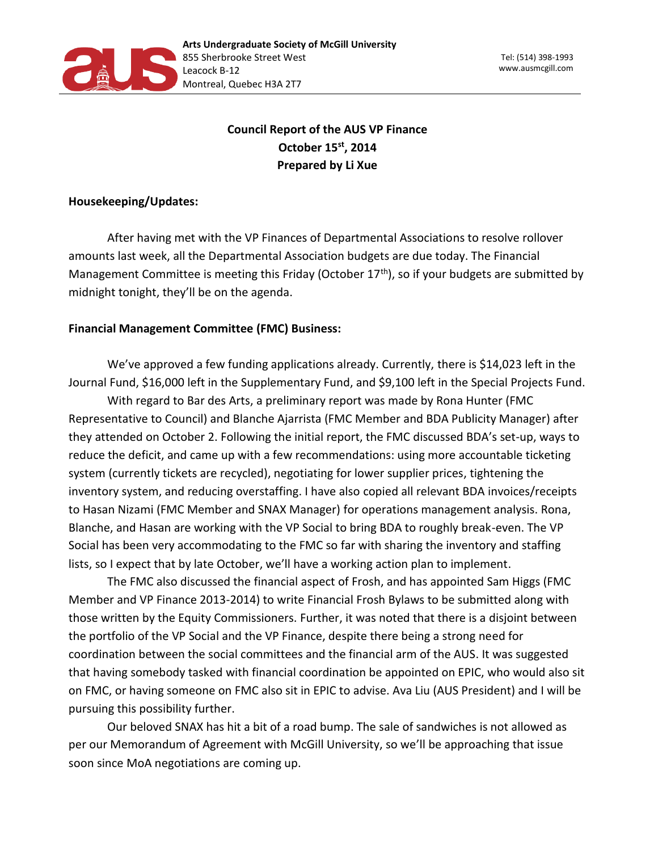

## **Council Report of the AUS VP Finance October 15st, 2014 Prepared by Li Xue**

## **Housekeeping/Updates:**

After having met with the VP Finances of Departmental Associations to resolve rollover amounts last week, all the Departmental Association budgets are due today. The Financial Management Committee is meeting this Friday (October  $17<sup>th</sup>$ ), so if your budgets are submitted by midnight tonight, they'll be on the agenda.

## **Financial Management Committee (FMC) Business:**

We've approved a few funding applications already. Currently, there is \$14,023 left in the Journal Fund, \$16,000 left in the Supplementary Fund, and \$9,100 left in the Special Projects Fund.

With regard to Bar des Arts, a preliminary report was made by Rona Hunter (FMC Representative to Council) and Blanche Ajarrista (FMC Member and BDA Publicity Manager) after they attended on October 2. Following the initial report, the FMC discussed BDA's set-up, ways to reduce the deficit, and came up with a few recommendations: using more accountable ticketing system (currently tickets are recycled), negotiating for lower supplier prices, tightening the inventory system, and reducing overstaffing. I have also copied all relevant BDA invoices/receipts to Hasan Nizami (FMC Member and SNAX Manager) for operations management analysis. Rona, Blanche, and Hasan are working with the VP Social to bring BDA to roughly break-even. The VP Social has been very accommodating to the FMC so far with sharing the inventory and staffing lists, so I expect that by late October, we'll have a working action plan to implement.

The FMC also discussed the financial aspect of Frosh, and has appointed Sam Higgs (FMC Member and VP Finance 2013-2014) to write Financial Frosh Bylaws to be submitted along with those written by the Equity Commissioners. Further, it was noted that there is a disjoint between the portfolio of the VP Social and the VP Finance, despite there being a strong need for coordination between the social committees and the financial arm of the AUS. It was suggested that having somebody tasked with financial coordination be appointed on EPIC, who would also sit on FMC, or having someone on FMC also sit in EPIC to advise. Ava Liu (AUS President) and I will be pursuing this possibility further.

Our beloved SNAX has hit a bit of a road bump. The sale of sandwiches is not allowed as per our Memorandum of Agreement with McGill University, so we'll be approaching that issue soon since MoA negotiations are coming up.